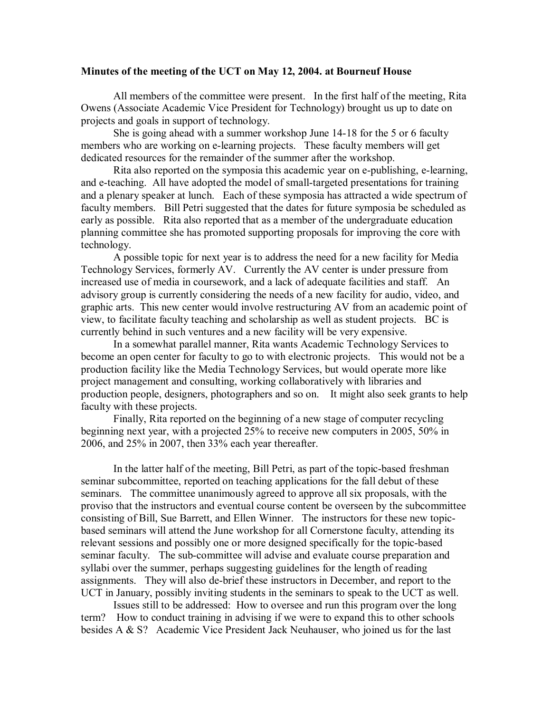## **Minutes of the meeting of the UCT on May 12, 2004. at Bourneuf House**

All members of the committee were present. In the first half of the meeting, Rita Owens (Associate Academic Vice President for Technology) brought us up to date on projects and goals in support of technology.

She is going ahead with a summer workshop June 14-18 for the 5 or 6 faculty members who are working on e-learning projects. These faculty members will get dedicated resources for the remainder of the summer after the workshop.

Rita also reported on the symposia this academic year on e-publishing, e-learning, and e-teaching. All have adopted the model of small-targeted presentations for training and a plenary speaker at lunch. Each of these symposia has attracted a wide spectrum of faculty members. Bill Petri suggested that the dates for future symposia be scheduled as early as possible. Rita also reported that as a member of the undergraduate education planning committee she has promoted supporting proposals for improving the core with technology.

A possible topic for next year is to address the need for a new facility for Media Technology Services, formerly AV. Currently the AV center is under pressure from increased use of media in coursework, and a lack of adequate facilities and staff. An advisory group is currently considering the needs of a new facility for audio, video, and graphic arts. This new center would involve restructuring AV from an academic point of view, to facilitate faculty teaching and scholarship as well as student projects. BC is currently behind in such ventures and a new facility will be very expensive.

In a somewhat parallel manner, Rita wants Academic Technology Services to become an open center for faculty to go to with electronic projects. This would not be a production facility like the Media Technology Services, but would operate more like project management and consulting, working collaboratively with libraries and production people, designers, photographers and so on. It might also seek grants to help faculty with these projects.

Finally, Rita reported on the beginning of a new stage of computer recycling beginning next year, with a projected 25% to receive new computers in 2005, 50% in 2006, and 25% in 2007, then 33% each year thereafter.

In the latter half of the meeting, Bill Petri, as part of the topic-based freshman seminar subcommittee, reported on teaching applications for the fall debut of these seminars. The committee unanimously agreed to approve all six proposals, with the proviso that the instructors and eventual course content be overseen by the subcommittee consisting of Bill, Sue Barrett, and Ellen Winner. The instructors for these new topic based seminars will attend the June workshop for all Cornerstone faculty, attending its relevant sessions and possibly one or more designed specifically for the topic-based seminar faculty. The sub-committee will advise and evaluate course preparation and syllabi over the summer, perhaps suggesting guidelines for the length of reading assignments. They will also de-brief these instructors in December, and report to the UCT in January, possibly inviting students in the seminars to speak to the UCT as well.

Issues still to be addressed: How to oversee and run this program over the long term? How to conduct training in advising if we were to expand this to other schools besides A & S? Academic Vice President Jack Neuhauser, who joined us for the last